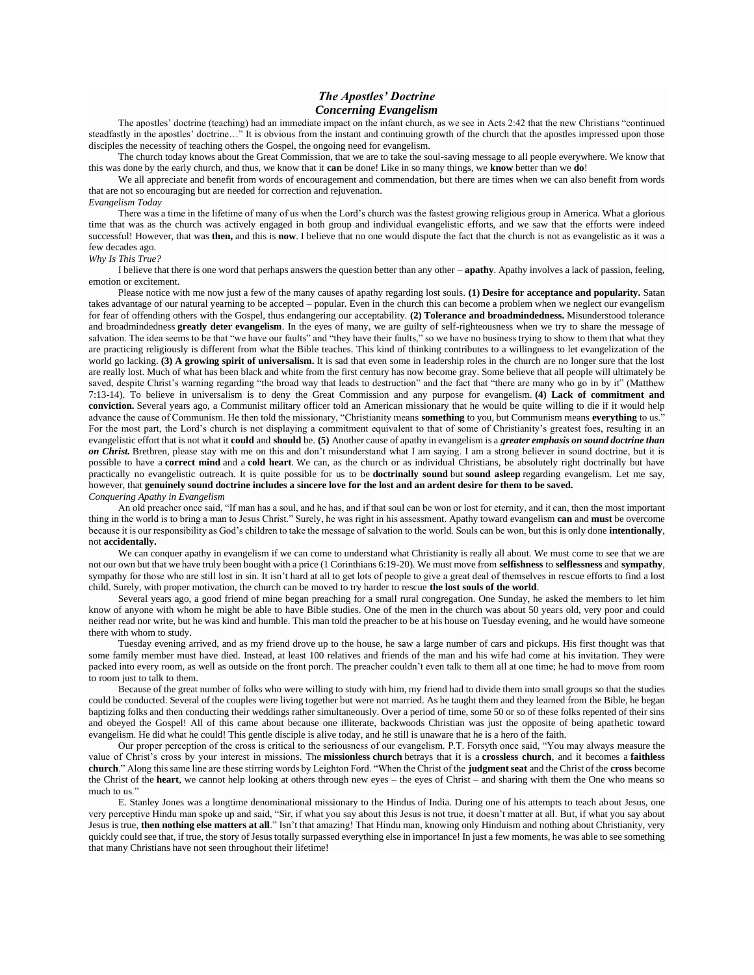## *The Apostles' Doctrine Concerning Evangelism*

The apostles' doctrine (teaching) had an immediate impact on the infant church, as we see in Acts 2:42 that the new Christians "continued steadfastly in the apostles' doctrine…" It is obvious from the instant and continuing growth of the church that the apostles impressed upon those disciples the necessity of teaching others the Gospel, the ongoing need for evangelism.

The church today knows about the Great Commission, that we are to take the soul-saving message to all people everywhere. We know that this was done by the early church, and thus, we know that it **can** be done! Like in so many things, we **know** better than we **do**!

We all appreciate and benefit from words of encouragement and commendation, but there are times when we can also benefit from words that are not so encouraging but are needed for correction and rejuvenation.

## *Evangelism Today*

There was a time in the lifetime of many of us when the Lord's church was the fastest growing religious group in America. What a glorious time that was as the church was actively engaged in both group and individual evangelistic efforts, and we saw that the efforts were indeed successful! However, that was **then,** and this is **now**. I believe that no one would dispute the fact that the church is not as evangelistic as it was a few decades ago.

## *Why Is This True?*

I believe that there is one word that perhaps answers the question better than any other – **apathy**. Apathy involves a lack of passion, feeling, emotion or excitement.

Please notice with me now just a few of the many causes of apathy regarding lost souls. **(1) Desire for acceptance and popularity.** Satan takes advantage of our natural yearning to be accepted – popular. Even in the church this can become a problem when we neglect our evangelism for fear of offending others with the Gospel, thus endangering our acceptability. **(2) Tolerance and broadmindedness.** Misunderstood tolerance and broadmindedness **greatly deter evangelism**. In the eyes of many, we are guilty of self-righteousness when we try to share the message of salvation. The idea seems to be that "we have our faults" and "they have their faults," so we have no business trying to show to them that what they are practicing religiously is different from what the Bible teaches. This kind of thinking contributes to a willingness to let evangelization of the world go lacking. **(3) A growing spirit of universalism.** It is sad that even some in leadership roles in the church are no longer sure that the lost are really lost. Much of what has been black and white from the first century has now become gray. Some believe that all people will ultimately be saved, despite Christ's warning regarding "the broad way that leads to destruction" and the fact that "there are many who go in by it" (Matthew 7:13-14). To believe in universalism is to deny the Great Commission and any purpose for evangelism. **(4) Lack of commitment and conviction.** Several years ago, a Communist military officer told an American missionary that he would be quite willing to die if it would help advance the cause of Communism. He then told the missionary, "Christianity means **something** to you, but Communism means **everything** to us." For the most part, the Lord's church is not displaying a commitment equivalent to that of some of Christianity's greatest foes, resulting in an evangelistic effort that is not what it **could** and **should** be. **(5)** Another cause of apathy in evangelism is a *greater emphasis on sound doctrine than on Christ.* Brethren, please stay with me on this and don't misunderstand what I am saying. I am a strong believer in sound doctrine, but it is possible to have a **correct mind** and a **cold heart**. We can, as the church or as individual Christians, be absolutely right doctrinally but have practically no evangelistic outreach. It is quite possible for us to be **doctrinally sound** but **sound asleep** regarding evangelism. Let me say, however, that **genuinely sound doctrine includes a sincere love for the lost and an ardent desire for them to be saved.** *Conquering Apathy in Evangelism*

An old preacher once said, "If man has a soul, and he has, and if that soul can be won or lost for eternity, and it can, then the most important thing in the world is to bring a man to Jesus Christ." Surely, he was right in his assessment. Apathy toward evangelism **can** and **must** be overcome because it is our responsibility as God's children to take the message of salvation to the world. Souls can be won, but this is only done **intentionally**, not **accidentally.**

We can conquer apathy in evangelism if we can come to understand what Christianity is really all about. We must come to see that we are not our own but that we have truly been bought with a price (1 Corinthians 6:19-20). We must move from **selfishness** to **selflessness** and **sympathy**, sympathy for those who are still lost in sin. It isn't hard at all to get lots of people to give a great deal of themselves in rescue efforts to find a lost child. Surely, with proper motivation, the church can be moved to try harder to rescue **the lost souls of the world**.

Several years ago, a good friend of mine began preaching for a small rural congregation. One Sunday, he asked the members to let him know of anyone with whom he might be able to have Bible studies. One of the men in the church was about 50 years old, very poor and could neither read nor write, but he was kind and humble. This man told the preacher to be at his house on Tuesday evening, and he would have someone there with whom to study.

Tuesday evening arrived, and as my friend drove up to the house, he saw a large number of cars and pickups. His first thought was that some family member must have died. Instead, at least 100 relatives and friends of the man and his wife had come at his invitation. They were packed into every room, as well as outside on the front porch. The preacher couldn't even talk to them all at one time; he had to move from room to room just to talk to them.

Because of the great number of folks who were willing to study with him, my friend had to divide them into small groups so that the studies could be conducted. Several of the couples were living together but were not married. As he taught them and they learned from the Bible, he began baptizing folks and then conducting their weddings rather simultaneously. Over a period of time, some 50 or so of these folks repented of their sins and obeyed the Gospel! All of this came about because one illiterate, backwoods Christian was just the opposite of being apathetic toward evangelism. He did what he could! This gentle disciple is alive today, and he still is unaware that he is a hero of the faith.

Our proper perception of the cross is critical to the seriousness of our evangelism. P.T. Forsyth once said, "You may always measure the value of Christ's cross by your interest in missions. The **missionless church** betrays that it is a **crossless church**, and it becomes a **faithless church**." Along this same line are these stirring words by Leighton Ford. "When the Christ of the **judgment seat** and the Christ of the **cross** become the Christ of the **heart**, we cannot help looking at others through new eyes – the eyes of Christ – and sharing with them the One who means so much to us"

E. Stanley Jones was a longtime denominational missionary to the Hindus of India. During one of his attempts to teach about Jesus, one very perceptive Hindu man spoke up and said, "Sir, if what you say about this Jesus is not true, it doesn't matter at all. But, if what you say about Jesus is true, then nothing else matters at all." Isn't that amazing! That Hindu man, knowing only Hinduism and nothing about Christianity, very quickly could see that, if true, the story of Jesus totally surpassed everything else in importance! In just a few moments, he was able to see something that many Christians have not seen throughout their lifetime!